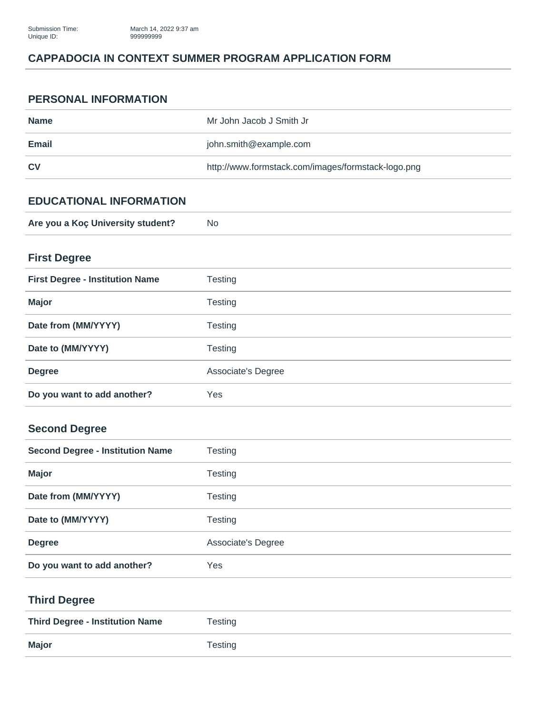## **CAPPADOCIA IN CONTEXT SUMMER PROGRAM APPLICATION FORM**

#### **PERSONAL INFORMATION**

| Name      | Mr John Jacob J Smith Jr                           |
|-----------|----------------------------------------------------|
| Email     | john.smith@example.com                             |
| <b>CV</b> | http://www.formstack.com/images/formstack-logo.png |

## **EDUCATIONAL INFORMATION**

| Are you a Koç University student? | N0 |
|-----------------------------------|----|
|                                   |    |

# **First Degree**

| <b>First Degree - Institution Name</b> | Testing            |
|----------------------------------------|--------------------|
| <b>Major</b>                           | <b>Testing</b>     |
| Date from (MM/YYYY)                    | Testing            |
| Date to (MM/YYYY)                      | <b>Testing</b>     |
| <b>Degree</b>                          | Associate's Degree |
| Do you want to add another?            | Yes                |

# **Second Degree**

| <b>Second Degree - Institution Name</b> | <b>Testing</b>     |
|-----------------------------------------|--------------------|
| <b>Major</b>                            | Testing            |
| Date from (MM/YYYY)                     | Testing            |
| Date to (MM/YYYY)                       | Testing            |
| <b>Degree</b>                           | Associate's Degree |
| Do you want to add another?             | Yes                |

#### **Third Degree**

| <b>Third Degree - Institution Name</b> | Testing |
|----------------------------------------|---------|
| <b>Major</b>                           | Testing |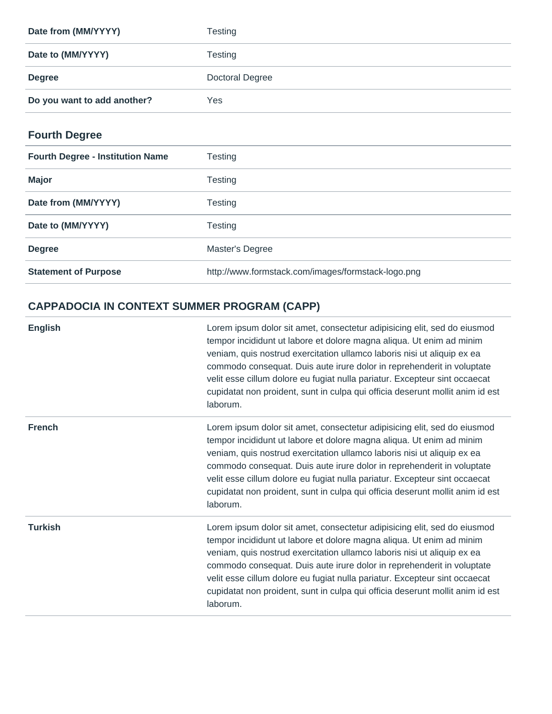| Date from (MM/YYYY)         | Testing         |
|-----------------------------|-----------------|
| Date to (MM/YYYY)           | Testing         |
| <b>Degree</b>               | Doctoral Degree |
| Do you want to add another? | Yes             |

# **Fourth Degree**

| <b>Fourth Degree - Institution Name</b> | Testing                                            |
|-----------------------------------------|----------------------------------------------------|
| <b>Major</b>                            | Testing                                            |
| Date from (MM/YYYY)                     | Testing                                            |
| Date to (MM/YYYY)                       | Testing                                            |
| <b>Degree</b>                           | Master's Degree                                    |
| <b>Statement of Purpose</b>             | http://www.formstack.com/images/formstack-logo.png |

# **CAPPADOCIA IN CONTEXT SUMMER PROGRAM (CAPP)**

| <b>English</b> | Lorem ipsum dolor sit amet, consectetur adipisicing elit, sed do eiusmod<br>tempor incididunt ut labore et dolore magna aliqua. Ut enim ad minim<br>veniam, quis nostrud exercitation ullamco laboris nisi ut aliquip ex ea<br>commodo consequat. Duis aute irure dolor in reprehenderit in voluptate<br>velit esse cillum dolore eu fugiat nulla pariatur. Excepteur sint occaecat<br>cupidatat non proident, sunt in culpa qui officia deserunt mollit anim id est<br>laborum. |
|----------------|----------------------------------------------------------------------------------------------------------------------------------------------------------------------------------------------------------------------------------------------------------------------------------------------------------------------------------------------------------------------------------------------------------------------------------------------------------------------------------|
| <b>French</b>  | Lorem ipsum dolor sit amet, consectetur adipisicing elit, sed do eiusmod<br>tempor incididunt ut labore et dolore magna aliqua. Ut enim ad minim<br>veniam, quis nostrud exercitation ullamco laboris nisi ut aliquip ex ea<br>commodo consequat. Duis aute irure dolor in reprehenderit in voluptate<br>velit esse cillum dolore eu fugiat nulla pariatur. Excepteur sint occaecat<br>cupidatat non proident, sunt in culpa qui officia deserunt mollit anim id est<br>laborum. |
| <b>Turkish</b> | Lorem ipsum dolor sit amet, consectetur adipisicing elit, sed do eiusmod<br>tempor incididunt ut labore et dolore magna aliqua. Ut enim ad minim<br>veniam, quis nostrud exercitation ullamco laboris nisi ut aliquip ex ea<br>commodo consequat. Duis aute irure dolor in reprehenderit in voluptate<br>velit esse cillum dolore eu fugiat nulla pariatur. Excepteur sint occaecat<br>cupidatat non proident, sunt in culpa qui officia deserunt mollit anim id est<br>laborum. |